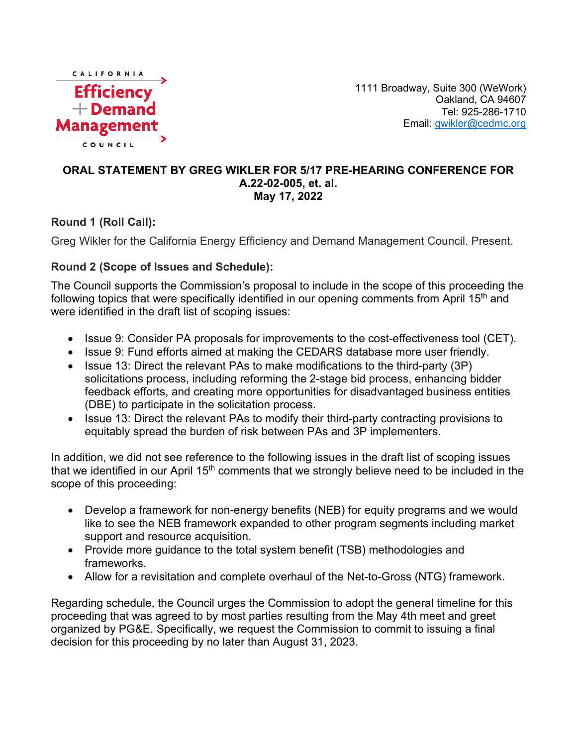

1111 Broadway, Suite 300 (WeWork) Oakland, CA 94607 Tel: 925-286-1710 Email: [gwikler@cedmc.org](mailto:gwikler@cedmc.org)

## **ORAL STATEMENT BY GREG WIKLER FOR 5/17 PRE-HEARING CONFERENCE FOR A.22-02-005, et. al. May 17, 2022**

## **Round 1 (Roll Call):**

Greg Wikler for the California Energy Efficiency and Demand Management Council. Present.

## **Round 2 (Scope of Issues and Schedule):**

The Council supports the Commission's proposal to include in the scope of this proceeding the following topics that were specifically identified in our opening comments from April 15<sup>th</sup> and were identified in the draft list of scoping issues:

- Issue 9: Consider PA proposals for improvements to the cost-effectiveness tool (CET).
- Issue 9: Fund efforts aimed at making the CEDARS database more user friendly.
- Issue 13: Direct the relevant PAs to make modifications to the third-party (3P) solicitations process, including reforming the 2-stage bid process, enhancing bidder feedback efforts, and creating more opportunities for disadvantaged business entities (DBE) to participate in the solicitation process.
- Issue 13: Direct the relevant PAs to modify their third-party contracting provisions to equitably spread the burden of risk between PAs and 3P implementers.

In addition, we did not see reference to the following issues in the draft list of scoping issues that we identified in our April  $15<sup>th</sup>$  comments that we strongly believe need to be included in the scope of this proceeding:

- Develop a framework for non-energy benefits (NEB) for equity programs and we would like to see the NEB framework expanded to other program segments including market support and resource acquisition.
- Provide more guidance to the total system benefit (TSB) methodologies and frameworks.
- Allow for a revisitation and complete overhaul of the Net-to-Gross (NTG) framework.

Regarding schedule, the Council urges the Commission to adopt the general timeline for this proceeding that was agreed to by most parties resulting from the May 4th meet and greet organized by PG&E. Specifically, we request the Commission to commit to issuing a final decision for this proceeding by no later than August 31, 2023.